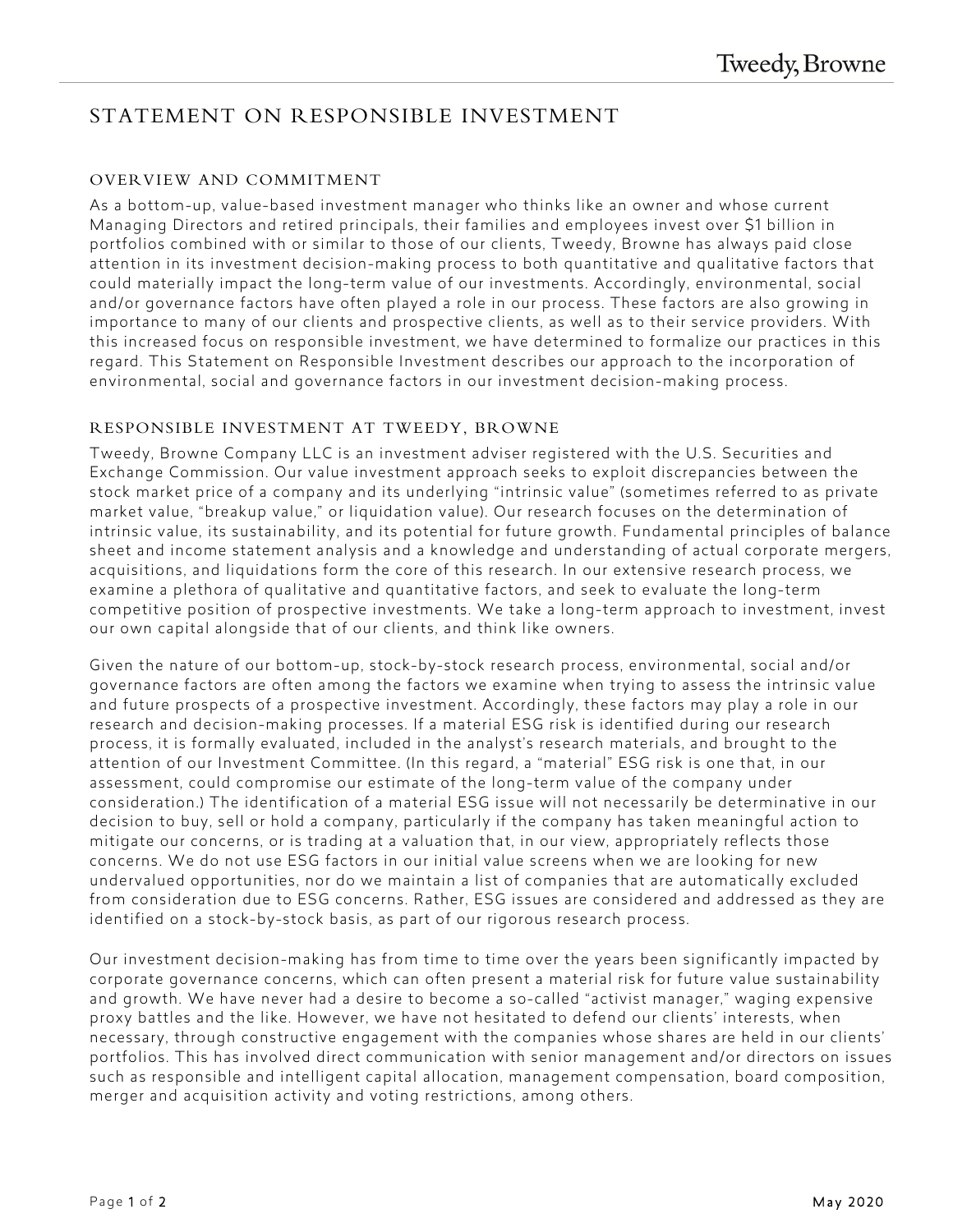# STATEMENT ON RESPONSIBLE INVESTMENT

#### OVERVIEW AND COMMITMENT

As a bottom-up, value-based investment manager who thinks like an owner and whose current Managing Directors and retired principals, their families and employees invest over \$1 billion in portfolios combined with or similar to those of our clients, Tweedy, Browne has always paid close attention in its investment decision-making process to both quantitative and qualitative factors that could materially impact the long-term value of our investments. Accordingly, environmental, social and/or governance factors have often played a role in our process. These factors are also growing in importance to many of our clients and prospective clients, as well as to their service providers. With this increased focus on responsible investment, we have determined to formalize our practices in this regard. This Statement on Responsible Investment describes our approach to the incorporation of environmental, social and governance factors in our investment decision-making process.

## RESPONSIBLE INVESTMENT AT TWEEDY, BROWNE

Tweedy, Browne Company LLC is an investment adviser registered with the U.S. Securities and Exchange Commission. Our value investment approach seeks to exploit discrepancies between the stock market price of a company and its underlying "intrinsic value" (sometimes referred to as private market value, "breakup value," or liquidation value). Our research focuses on the determination of intrinsic value, its sustainability, and its potential for future growth. Fundamental principles of balance sheet and income statement analysis and a knowledge and understanding of actual corporate mergers, acquisitions, and liquidations form the core of this research. In our extensive research process, we examine a plethora of qualitative and quantitative factors, and seek to evaluate the long-term competitive position of prospective investments. We take a long-term approach to investment, invest our own capital alongside that of our clients, and think like owners.

Given the nature of our bottom-up, stock-by-stock research process, environmental, social and/or governance factors are often among the factors we examine when trying to assess the intrinsic value and future prospects of a prospective investment. Accordingly, these factors may play a role in our research and decision-making processes. If a material ESG risk is identified during our research process, it is formally evaluated, included in the analyst's research materials, and brought to the attention of our Investment Committee. (In this regard, a "material" ESG risk is one that, in our assessment, could compromise our estimate of the long-term value of the company under consideration.) The identification of a material ESG issue will not necessarily be determinative in our decision to buy, sell or hold a company, particularly if the company has taken meaningful action to mitigate our concerns, or is trading at a valuation that, in our view, appropriately reflects those concerns. We do not use ESG factors in our initial value screens when we are looking for new undervalued opportunities, nor do we maintain a list of companies that are automatically excluded from consideration due to ESG concerns. Rather, ESG issues are considered and addressed as they are identified on a stock-by-stock basis, as part of our rigorous research process.

Our investment decision-making has from time to time over the years been significantly impacted by corporate governance concerns, which can often present a material risk for future value sustainability and growth. We have never had a desire to become a so-called "activist manager," waging expensive proxy battles and the like. However, we have not hesitated to defend our clients' interests, when necessary, through constructive engagement with the companies whose shares are held in our clients' portfolios. This has involved direct communication with senior management and/or directors on issues such as responsible and intelligent capital allocation, management compensation, board composition, merger and acquisition activity and voting restrictions, among others.